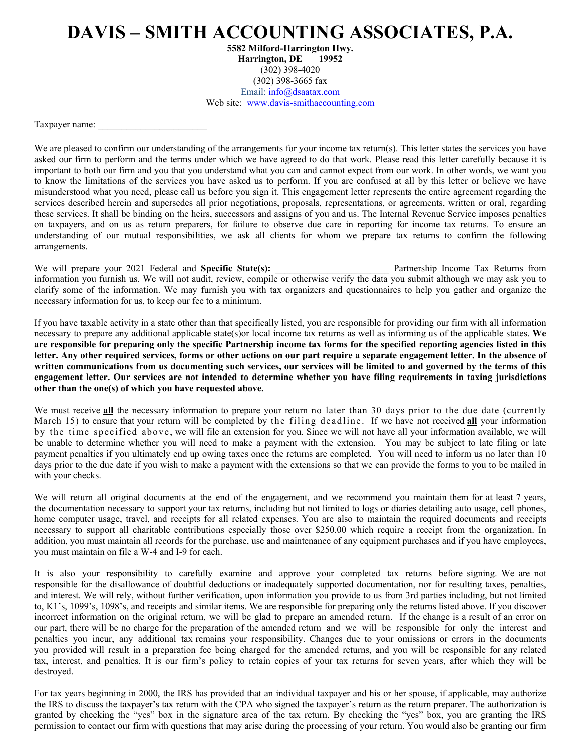## **DAVIS – SMITH ACCOUNTING ASSOCIATES, P.A.**

**5582 Milford-Harrington Hwy. Harrington, DE 19952**  (302) 398-4020 (302) 398-3665 fax Email: info@dsaatax.com Web site: www.davis-smithaccounting.com

Taxpayer name:

We are pleased to confirm our understanding of the arrangements for your income tax return(s). This letter states the services you have asked our firm to perform and the terms under which we have agreed to do that work. Please read this letter carefully because it is important to both our firm and you that you understand what you can and cannot expect from our work. In other words, we want you to know the limitations of the services you have asked us to perform. If you are confused at all by this letter or believe we have misunderstood what you need, please call us before you sign it. This engagement letter represents the entire agreement regarding the services described herein and supersedes all prior negotiations, proposals, representations, or agreements, written or oral, regarding these services. It shall be binding on the heirs, successors and assigns of you and us. The Internal Revenue Service imposes penalties on taxpayers, and on us as return preparers, for failure to observe due care in reporting for income tax returns. To ensure an understanding of our mutual responsibilities, we ask all clients for whom we prepare tax returns to confirm the following arrangements.

We will prepare your 2021 Federal and **Specific State(s): 2021** Partnership Income Tax Returns from information you furnish us. We will not audit, review, compile or otherwise verify the data you submit although we may ask you to clarify some of the information. We may furnish you with tax organizers and questionnaires to help you gather and organize the necessary information for us, to keep our fee to a minimum.

If you have taxable activity in a state other than that specifically listed, you are responsible for providing our firm with all information necessary to prepare any additional applicable state(s)or local income tax returns as well as informing us of the applicable states. **We are responsible for preparing only the specific Partnership income tax forms for the specified reporting agencies listed in this letter. Any other required services, forms or other actions on our part require a separate engagement letter. In the absence of written communications from us documenting such services, our services will be limited to and governed by the terms of this engagement letter. Our services are not intended to determine whether you have filing requirements in taxing jurisdictions other than the one(s) of which you have requested above.**

We must receive all the necessary information to prepare your return no later than 30 days prior to the due date (currently March 15) to ensure that your return will be completed by the filing deadline. If we have not received **all** your information by the time specified above, we will file an extension for you. Since we will not have all your information available, we will be unable to determine whether you will need to make a payment with the extension. You may be subject to late filing or late payment penalties if you ultimately end up owing taxes once the returns are completed. You will need to inform us no later than 10 days prior to the due date if you wish to make a payment with the extensions so that we can provide the forms to you to be mailed in with your checks.

We will return all original documents at the end of the engagement, and we recommend you maintain them for at least 7 years, the documentation necessary to support your tax returns, including but not limited to logs or diaries detailing auto usage, cell phones, home computer usage, travel, and receipts for all related expenses. You are also to maintain the required documents and receipts necessary to support all charitable contributions especially those over \$250.00 which require a receipt from the organization. In addition, you must maintain all records for the purchase, use and maintenance of any equipment purchases and if you have employees, you must maintain on file a W-4 and I-9 for each.

It is also your responsibility to carefully examine and approve your completed tax returns before signing. We are not responsible for the disallowance of doubtful deductions or inadequately supported documentation, nor for resulting taxes, penalties, and interest. We will rely, without further verification, upon information you provide to us from 3rd parties including, but not limited to, K1's, 1099's, 1098's, and receipts and similar items. We are responsible for preparing only the returns listed above. If you discover incorrect information on the original return, we will be glad to prepare an amended return. If the change is a result of an error on our part, there will be no charge for the preparation of the amended return and we will be responsible for only the interest and penalties you incur, any additional tax remains your responsibility. Changes due to your omissions or errors in the documents you provided will result in a preparation fee being charged for the amended returns, and you will be responsible for any related tax, interest, and penalties. It is our firm's policy to retain copies of your tax returns for seven years, after which they will be destroyed.

For tax years beginning in 2000, the IRS has provided that an individual taxpayer and his or her spouse, if applicable, may authorize the IRS to discuss the taxpayer's tax return with the CPA who signed the taxpayer's return as the return preparer. The authorization is granted by checking the "yes" box in the signature area of the tax return. By checking the "yes" box, you are granting the IRS permission to contact our firm with questions that may arise during the processing of your return. You would also be granting our firm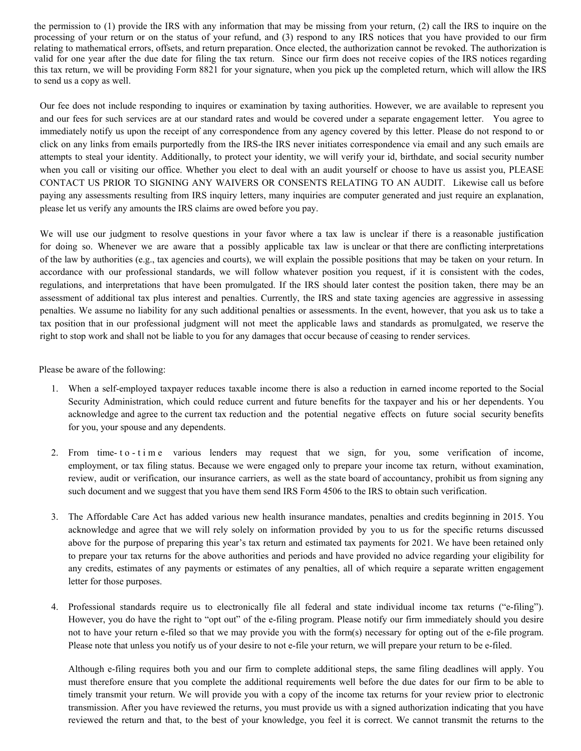the permission to (1) provide the IRS with any information that may be missing from your return, (2) call the IRS to inquire on the processing of your return or on the status of your refund, and (3) respond to any IRS notices that you have provided to our firm relating to mathematical errors, offsets, and return preparation. Once elected, the authorization cannot be revoked. The authorization is valid for one year after the due date for filing the tax return. Since our firm does not receive copies of the IRS notices regarding this tax return, we will be providing Form 8821 for your signature, when you pick up the completed return, which will allow the IRS to send us a copy as well.

Our fee does not include responding to inquires or examination by taxing authorities. However, we are available to represent you and our fees for such services are at our standard rates and would be covered under a separate engagement letter. You agree to immediately notify us upon the receipt of any correspondence from any agency covered by this letter. Please do not respond to or click on any links from emails purportedly from the IRS-the IRS never initiates correspondence via email and any such emails are attempts to steal your identity. Additionally, to protect your identity, we will verify your id, birthdate, and social security number when you call or visiting our office. Whether you elect to deal with an audit yourself or choose to have us assist you, PLEASE CONTACT US PRIOR TO SIGNING ANY WAIVERS OR CONSENTS RELATING TO AN AUDIT. Likewise call us before paying any assessments resulting from IRS inquiry letters, many inquiries are computer generated and just require an explanation, please let us verify any amounts the IRS claims are owed before you pay.

We will use our judgment to resolve questions in your favor where a tax law is unclear if there is a reasonable justification for doing so. Whenever we are aware that a possibly applicable tax law is unclear or that there are conflicting interpretations of the law by authorities (e.g., tax agencies and courts), we will explain the possible positions that may be taken on your return. In accordance with our professional standards, we will follow whatever position you request, if it is consistent with the codes, regulations, and interpretations that have been promulgated. If the IRS should later contest the position taken, there may be an assessment of additional tax plus interest and penalties. Currently, the IRS and state taxing agencies are aggressive in assessing penalties. We assume no liability for any such additional penalties or assessments. In the event, however, that you ask us to take a tax position that in our professional judgment will not meet the applicable laws and standards as promulgated, we reserve the right to stop work and shall not be liable to you for any damages that occur because of ceasing to render services.

Please be aware of the following:

- 1. When a self-employed taxpayer reduces taxable income there is also a reduction in earned income reported to the Social Security Administration, which could reduce current and future benefits for the taxpayer and his or her dependents. You acknowledge and agree to the current tax reduction and the potential negative effects on future social security benefits for you, your spouse and any dependents.
- 2. From time- t o t i m e various lenders may request that we sign, for you, some verification of income, employment, or tax filing status. Because we were engaged only to prepare your income tax return, without examination, review, audit or verification, our insurance carriers, as well as the state board of accountancy, prohibit us from signing any such document and we suggest that you have them send IRS Form 4506 to the IRS to obtain such verification.
- 3. The Affordable Care Act has added various new health insurance mandates, penalties and credits beginning in 2015. You acknowledge and agree that we will rely solely on information provided by you to us for the specific returns discussed above for the purpose of preparing this year's tax return and estimated tax payments for 2021. We have been retained only to prepare your tax returns for the above authorities and periods and have provided no advice regarding your eligibility for any credits, estimates of any payments or estimates of any penalties, all of which require a separate written engagement letter for those purposes.
- 4. Professional standards require us to electronically file all federal and state individual income tax returns ("e-filing"). However, you do have the right to "opt out" of the e-filing program. Please notify our firm immediately should you desire not to have your return e-filed so that we may provide you with the form(s) necessary for opting out of the e-file program. Please note that unless you notify us of your desire to not e-file your return, we will prepare your return to be e-filed.

Although e-filing requires both you and our firm to complete additional steps, the same filing deadlines will apply. You must therefore ensure that you complete the additional requirements well before the due dates for our firm to be able to timely transmit your return. We will provide you with a copy of the income tax returns for your review prior to electronic transmission. After you have reviewed the returns, you must provide us with a signed authorization indicating that you have reviewed the return and that, to the best of your knowledge, you feel it is correct. We cannot transmit the returns to the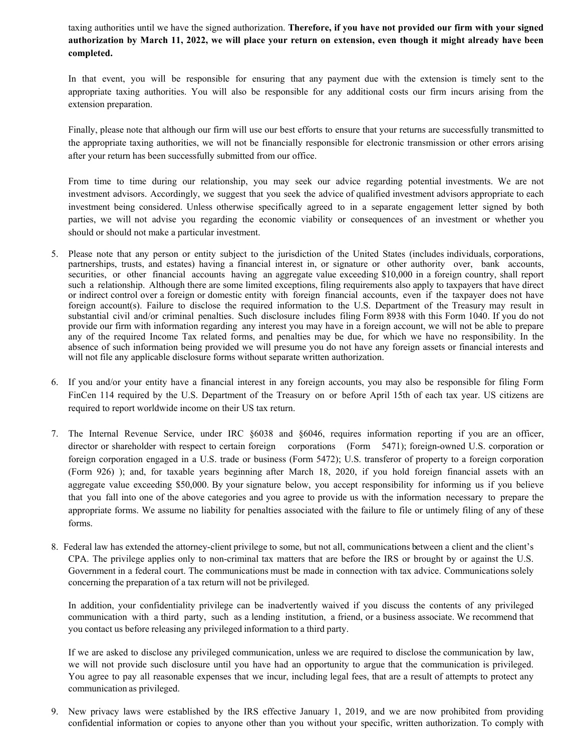taxing authorities until we have the signed authorization. **Therefore, if you have not provided our firm with your signed authorization by March 11, 2022, we will place your return on extension, even though it might already have been completed.** 

In that event, you will be responsible for ensuring that any payment due with the extension is timely sent to the appropriate taxing authorities. You will also be responsible for any additional costs our firm incurs arising from the extension preparation.

Finally, please note that although our firm will use our best efforts to ensure that your returns are successfully transmitted to the appropriate taxing authorities, we will not be financially responsible for electronic transmission or other errors arising after your return has been successfully submitted from our office.

From time to time during our relationship, you may seek our advice regarding potential investments. We are not investment advisors. Accordingly, we suggest that you seek the advice of qualified investment advisors appropriate to each investment being considered. Unless otherwise specifically agreed to in a separate engagement letter signed by both parties, we will not advise you regarding the economic viability or consequences of an investment or whether you should or should not make a particular investment.

- 5. Please note that any person or entity subject to the jurisdiction of the United States (includes individuals, corporations, partnerships, trusts, and estates) having a financial interest in, or signature or other authority over, bank accounts, securities, or other financial accounts having an aggregate value exceeding \$10,000 in a foreign country, shall report such a relationship. Although there are some limited exceptions, filing requirements also apply to taxpayers that have direct or indirect control over a foreign or domestic entity with foreign financial accounts, even if the taxpayer does not have foreign account(s). Failure to disclose the required information to the U.S. Department of the Treasury may result in substantial civil and/or criminal penalties. Such disclosure includes filing Form 8938 with this Form 1040. If you do not provide our firm with information regarding any interest you may have in a foreign account, we will not be able to prepare any of the required Income Tax related forms, and penalties may be due, for which we have no responsibility. In the absence of such information being provided we will presume you do not have any foreign assets or financial interests and will not file any applicable disclosure forms without separate written authorization.
- 6. If you and/or your entity have a financial interest in any foreign accounts, you may also be responsible for filing Form FinCen 114 required by the U.S. Department of the Treasury on or before April 15th of each tax year. US citizens are required to report worldwide income on their US tax return.
- 7. The Internal Revenue Service, under IRC §6038 and §6046, requires information reporting if you are an officer, director or shareholder with respect to certain foreign corporations (Form 5471); foreign-owned U.S. corporation or foreign corporation engaged in a U.S. trade or business (Form 5472); U.S. transferor of property to a foreign corporation (Form 926) ); and, for taxable years beginning after March 18, 2020, if you hold foreign financial assets with an aggregate value exceeding \$50,000. By your signature below, you accept responsibility for informing us if you believe that you fall into one of the above categories and you agree to provide us with the information necessary to prepare the appropriate forms. We assume no liability for penalties associated with the failure to file or untimely filing of any of these forms.
- 8. Federal law has extended the attorney-client privilege to some, but not all, communications between a client and the client's CPA. The privilege applies only to non-criminal tax matters that are before the IRS or brought by or against the U.S. Government in a federal court. The communications must be made in connection with tax advice. Communications solely concerning the preparation of a tax return will not be privileged.

In addition, your confidentiality privilege can be inadvertently waived if you discuss the contents of any privileged communication with a third party, such as a lending institution, a friend, or a business associate. We recommend that you contact us before releasing any privileged information to a third party.

If we are asked to disclose any privileged communication, unless we are required to disclose the communication by law, we will not provide such disclosure until you have had an opportunity to argue that the communication is privileged. You agree to pay all reasonable expenses that we incur, including legal fees, that are a result of attempts to protect any communication as privileged.

9. New privacy laws were established by the IRS effective January 1, 2019, and we are now prohibited from providing confidential information or copies to anyone other than you without your specific, written authorization. To comply with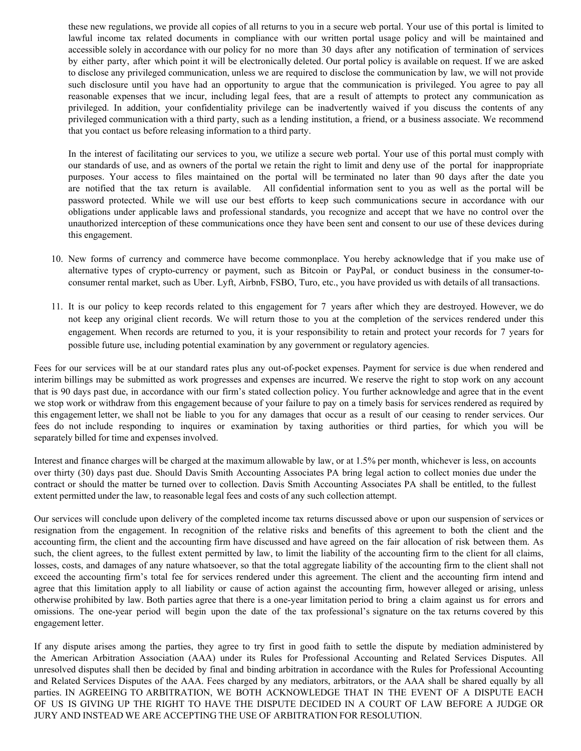these new regulations, we provide all copies of all returns to you in a secure web portal. Your use of this portal is limited to lawful income tax related documents in compliance with our written portal usage policy and will be maintained and accessible solely in accordance with our policy for no more than 30 days after any notification of termination of services by either party, after which point it will be electronically deleted. Our portal policy is available on request. If we are asked to disclose any privileged communication, unless we are required to disclose the communication by law, we will not provide such disclosure until you have had an opportunity to argue that the communication is privileged. You agree to pay all reasonable expenses that we incur, including legal fees, that are a result of attempts to protect any communication as privileged. In addition, your confidentiality privilege can be inadvertently waived if you discuss the contents of any privileged communication with a third party, such as a lending institution, a friend, or a business associate. We recommend that you contact us before releasing information to a third party.

In the interest of facilitating our services to you, we utilize a secure web portal. Your use of this portal must comply with our standards of use, and as owners of the portal we retain the right to limit and deny use of the portal for inappropriate purposes. Your access to files maintained on the portal will be terminated no later than 90 days after the date you are notified that the tax return is available. All confidential information sent to you as well as the portal will be password protected. While we will use our best efforts to keep such communications secure in accordance with our obligations under applicable laws and professional standards, you recognize and accept that we have no control over the unauthorized interception of these communications once they have been sent and consent to our use of these devices during this engagement.

- 10. New forms of currency and commerce have become commonplace. You hereby acknowledge that if you make use of alternative types of crypto-currency or payment, such as Bitcoin or PayPal, or conduct business in the consumer-toconsumer rental market, such as Uber. Lyft, Airbnb, FSBO, Turo, etc., you have provided us with details of all transactions.
- 11. It is our policy to keep records related to this engagement for 7 years after which they are destroyed. However, we do not keep any original client records. We will return those to you at the completion of the services rendered under this engagement. When records are returned to you, it is your responsibility to retain and protect your records for 7 years for possible future use, including potential examination by any government or regulatory agencies.

Fees for our services will be at our standard rates plus any out-of-pocket expenses. Payment for service is due when rendered and interim billings may be submitted as work progresses and expenses are incurred. We reserve the right to stop work on any account that is 90 days past due, in accordance with our firm's stated collection policy. You further acknowledge and agree that in the event we stop work or withdraw from this engagement because of your failure to pay on a timely basis for services rendered as required by this engagement letter, we shall not be liable to you for any damages that occur as a result of our ceasing to render services. Our fees do not include responding to inquires or examination by taxing authorities or third parties, for which you will be separately billed for time and expenses involved.

Interest and finance charges will be charged at the maximum allowable by law, or at 1.5% per month, whichever is less, on accounts over thirty (30) days past due. Should Davis Smith Accounting Associates PA bring legal action to collect monies due under the contract or should the matter be turned over to collection. Davis Smith Accounting Associates PA shall be entitled, to the fullest extent permitted under the law, to reasonable legal fees and costs of any such collection attempt.

Our services will conclude upon delivery of the completed income tax returns discussed above or upon our suspension of services or resignation from the engagement. In recognition of the relative risks and benefits of this agreement to both the client and the accounting firm, the client and the accounting firm have discussed and have agreed on the fair allocation of risk between them. As such, the client agrees, to the fullest extent permitted by law, to limit the liability of the accounting firm to the client for all claims, losses, costs, and damages of any nature whatsoever, so that the total aggregate liability of the accounting firm to the client shall not exceed the accounting firm's total fee for services rendered under this agreement. The client and the accounting firm intend and agree that this limitation apply to all liability or cause of action against the accounting firm, however alleged or arising, unless otherwise prohibited by law. Both parties agree that there is a one-year limitation period to bring a claim against us for errors and omissions. The one-year period will begin upon the date of the tax professional's signature on the tax returns covered by this engagement letter.

If any dispute arises among the parties, they agree to try first in good faith to settle the dispute by mediation administered by the American Arbitration Association (AAA) under its Rules for Professional Accounting and Related Services Disputes. All unresolved disputes shall then be decided by final and binding arbitration in accordance with the Rules for Professional Accounting and Related Services Disputes of the AAA. Fees charged by any mediators, arbitrators, or the AAA shall be shared equally by all parties. IN AGREEING TO ARBITRATION, WE BOTH ACKNOWLEDGE THAT IN THE EVENT OF A DISPUTE EACH OF US IS GIVING UP THE RIGHT TO HAVE THE DISPUTE DECIDED IN A COURT OF LAW BEFORE A JUDGE OR JURY AND INSTEAD WE ARE ACCEPTING THE USE OF ARBITRATION FOR RESOLUTION.